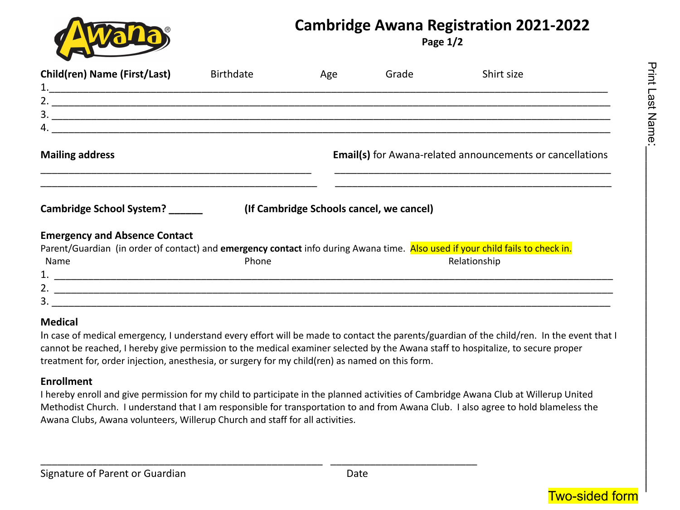

# **Cambridge Awana Registration 2021-2022**

**Page 1/2**

| <b>Child(ren) Name (First/Last)</b>                                                                                            | <b>Birthdate</b> | Age                                      | Grade                                                            | Shirt size   |  |  |
|--------------------------------------------------------------------------------------------------------------------------------|------------------|------------------------------------------|------------------------------------------------------------------|--------------|--|--|
|                                                                                                                                |                  |                                          |                                                                  |              |  |  |
|                                                                                                                                |                  |                                          |                                                                  |              |  |  |
|                                                                                                                                |                  |                                          |                                                                  |              |  |  |
|                                                                                                                                |                  |                                          |                                                                  |              |  |  |
| <b>Mailing address</b>                                                                                                         |                  |                                          | <b>Email(s)</b> for Awana-related announcements or cancellations |              |  |  |
| Cambridge School System? ______                                                                                                |                  | (If Cambridge Schools cancel, we cancel) |                                                                  |              |  |  |
| <b>Emergency and Absence Contact</b>                                                                                           |                  |                                          |                                                                  |              |  |  |
| Parent/Guardian (in order of contact) and emergency contact info during Awana time. Also used if your child fails to check in. |                  |                                          |                                                                  |              |  |  |
| Name                                                                                                                           | Phone            |                                          |                                                                  | Relationship |  |  |
|                                                                                                                                |                  |                                          |                                                                  |              |  |  |
|                                                                                                                                |                  |                                          |                                                                  |              |  |  |
| 3.                                                                                                                             |                  |                                          |                                                                  |              |  |  |

### **Medical**

In case of medical emergency, I understand every effort will be made to contact the parents/guardian of the child/ren. In the event that I cannot be reached, I hereby give permission to the medical examiner selected by the Awana staff to hospitalize, to secure proper treatment for, order injection, anesthesia, or surgery for my child(ren) as named on this form.

#### **Enrollment**

I hereby enroll and give permission for my child to participate in the planned activities of Cambridge Awana Club at Willerup United Methodist Church. I understand that I am responsible for transportation to and from Awana Club. I also agree to hold blameless the Awana Clubs, Awana volunteers, Willerup Church and staff for all activities.

\_\_\_\_\_\_\_\_\_\_\_\_\_\_\_\_\_\_\_\_\_\_\_\_\_\_\_\_\_\_\_\_\_\_\_\_\_\_\_\_\_\_\_\_\_\_\_\_\_\_ \_\_\_\_\_\_\_\_\_\_\_\_\_\_\_\_\_\_\_\_\_\_\_\_\_\_



:<br>.<br>.<br>.